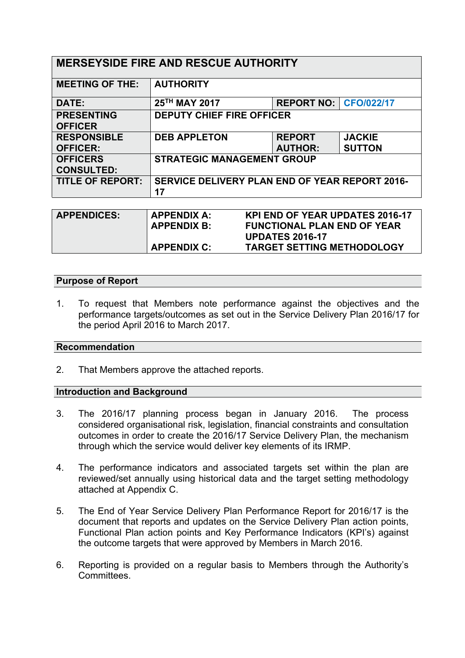| <b>MERSEYSIDE FIRE AND RESCUE AUTHORITY</b> |                                                              |                                 |                                |  |
|---------------------------------------------|--------------------------------------------------------------|---------------------------------|--------------------------------|--|
| <b>MEETING OF THE:</b>                      | <b>AUTHORITY</b>                                             |                                 |                                |  |
| DATE:                                       | 25TH MAY 2017                                                | <b>REPORT NO:   CFO/022/17</b>  |                                |  |
| <b>PRESENTING</b><br><b>OFFICER</b>         | <b>DEPUTY CHIEF FIRE OFFICER</b>                             |                                 |                                |  |
| <b>RESPONSIBLE</b><br><b>OFFICER:</b>       | <b>DEB APPLETON</b>                                          | <b>REPORT</b><br><b>AUTHOR:</b> | <b>JACKIE</b><br><b>SUTTON</b> |  |
| <b>OFFICERS</b><br><b>CONSULTED:</b>        | <b>STRATEGIC MANAGEMENT GROUP</b>                            |                                 |                                |  |
| <b>TITLE OF REPORT:</b>                     | <b>SERVICE DELIVERY PLAN END OF YEAR REPORT 2016-</b><br>17  |                                 |                                |  |
|                                             |                                                              |                                 |                                |  |
| <b>APPENDICES:</b>                          | <b>KPI END OF YEAR UPDATES 2016-17</b><br><b>APPENDIX A:</b> |                                 |                                |  |

| <b>APPENDICES:</b> | APPENDIX A:<br><b>APPENDIX B:</b> | <b>KPI END OF YEAR UPDATES 2016-17</b><br><b>FUNCTIONAL PLAN END OF YEAR</b> |
|--------------------|-----------------------------------|------------------------------------------------------------------------------|
|                    |                                   | <b>UPDATES 2016-17</b>                                                       |
|                    | <b>APPENDIX C:</b>                | <b>TARGET SETTING METHODOLOGY</b>                                            |

# **Purpose of Report**

1. To request that Members note performance against the objectives and the performance targets/outcomes as set out in the Service Delivery Plan 2016/17 for the period April 2016 to March 2017.

### **Recommendation**

2. That Members approve the attached reports.

### **Introduction and Background**

- 3. The 2016/17 planning process began in January 2016. The process considered organisational risk, legislation, financial constraints and consultation outcomes in order to create the 2016/17 Service Delivery Plan, the mechanism through which the service would deliver key elements of its IRMP.
- 4. The performance indicators and associated targets set within the plan are reviewed/set annually using historical data and the target setting methodology attached at Appendix C.
- 5. The End of Year Service Delivery Plan Performance Report for 2016/17 is the document that reports and updates on the Service Delivery Plan action points, Functional Plan action points and Key Performance Indicators (KPI's) against the outcome targets that were approved by Members in March 2016.
- 6. Reporting is provided on a regular basis to Members through the Authority's Committees.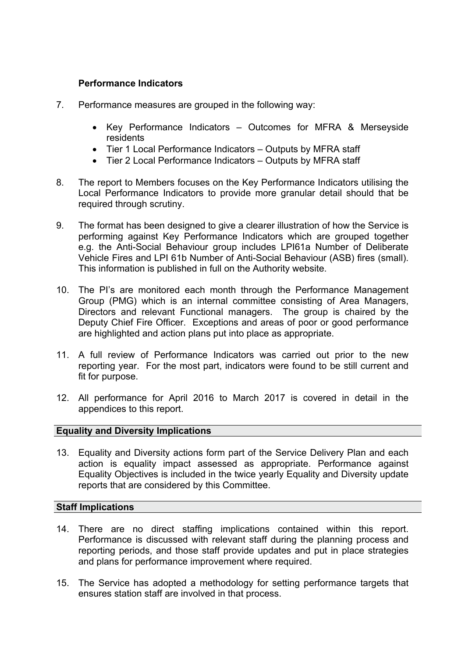# **Performance Indicators**

- 7. Performance measures are grouped in the following way:
	- Key Performance Indicators Outcomes for MFRA & Merseyside residents
	- Tier 1 Local Performance Indicators Outputs by MFRA staff
	- Tier 2 Local Performance Indicators Outputs by MFRA staff
- 8. The report to Members focuses on the Key Performance Indicators utilising the Local Performance Indicators to provide more granular detail should that be required through scrutiny.
- 9. The format has been designed to give a clearer illustration of how the Service is performing against Key Performance Indicators which are grouped together e.g. the Anti-Social Behaviour group includes LPI61a Number of Deliberate Vehicle Fires and LPI 61b Number of Anti-Social Behaviour (ASB) fires (small). This information is published in full on the Authority website.
- 10. The PI's are monitored each month through the Performance Management Group (PMG) which is an internal committee consisting of Area Managers, Directors and relevant Functional managers. The group is chaired by the Deputy Chief Fire Officer. Exceptions and areas of poor or good performance are highlighted and action plans put into place as appropriate.
- 11. A full review of Performance Indicators was carried out prior to the new reporting year. For the most part, indicators were found to be still current and fit for purpose.
- 12. All performance for April 2016 to March 2017 is covered in detail in the appendices to this report.

# **Equality and Diversity Implications**

13. Equality and Diversity actions form part of the Service Delivery Plan and each action is equality impact assessed as appropriate. Performance against Equality Objectives is included in the twice yearly Equality and Diversity update reports that are considered by this Committee.

# **Staff Implications**

- 14. There are no direct staffing implications contained within this report. Performance is discussed with relevant staff during the planning process and reporting periods, and those staff provide updates and put in place strategies and plans for performance improvement where required.
- 15. The Service has adopted a methodology for setting performance targets that ensures station staff are involved in that process.